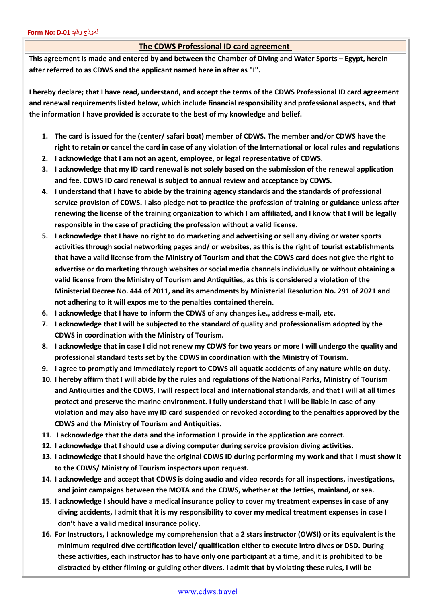## **The CDWS Professional ID card agreement**

**This agreement is made and entered by and between the Chamber of Diving and Water Sports – Egypt, herein after referred to as CDWS and the applicant named here in after as "I".**

**I hereby declare; that I have read, understand, and accept the terms of the CDWS Professional ID card agreement and renewal requirements listed below, which include financial responsibility and professional aspects, and that the information I have provided is accurate to the best of my knowledge and belief.**

- **1. The card is issued for the (center/ safari boat) member of CDWS. The member and/or CDWS have the right to retain or cancel the card in case of any violation of the International or local rules and regulations**
- **2. I acknowledge that I am not an agent, employee, or legal representative of CDWS.**
- **3. I acknowledge that my ID card renewal is not solely based on the submission of the renewal application and fee. CDWS ID card renewal is subject to annual review and acceptance by CDWS.**
- **4. I understand that I have to abide by the training agency standards and the standards of professional service provision of CDWS. I also pledge not to practice the profession of training or guidance unless after renewing the license of the training organization to which I am affiliated, and I know that I will be legally responsible in the case of practicing the profession without a valid license.**
- **5. I acknowledge that I have no right to do marketing and advertising or sell any diving or water sports activities through social networking pages and/ or websites, as this is the right of tourist establishments that have a valid license from the Ministry of Tourism and that the CDWS card does not give the right to advertise or do marketing through websites or social media channels individually or without obtaining a valid license from the Ministry of Tourism and Antiquities, as this is considered a violation of the Ministerial Decree No. 444 of 2011, and its amendments by Ministerial Resolution No. 291 of 2021 and not adhering to it will expos me to the penalties contained therein.**
- **6. I acknowledge that I have to inform the CDWS of any changes i.e., address e-mail, etc.**
- **7. I acknowledge that I will be subjected to the standard of quality and professionalism adopted by the CDWS in coordination with the Ministry of Tourism.**
- **8. I acknowledge that in case I did not renew my CDWS for two years or more I will undergo the quality and professional standard tests set by the CDWS in coordination with the Ministry of Tourism.**
- **9. I agree to promptly and immediately report to CDWS all aquatic accidents of any nature while on duty.**
- **10. I hereby affirm that I will abide by the rules and regulations of the National Parks, Ministry of Tourism and Antiquities and the CDWS, I will respect local and international standards, and that I will at all times protect and preserve the marine environment. I fully understand that I will be liable in case of any violation and may also have my ID card suspended or revoked according to the penalties approved by the CDWS and the Ministry of Tourism and Antiquities.**
- **11. I acknowledge that the data and the information I provide in the application are correct.**
- **12. I acknowledge that I should use a diving computer during service provision diving activities.**
- **13. I acknowledge that I should have the original CDWS ID during performing my work and that I must show it to the CDWS/ Ministry of Tourism inspectors upon request.**
- **14. I acknowledge and accept that CDWS is doing audio and video records for all inspections, investigations, and joint campaigns between the MOTA and the CDWS, whether at the Jetties, mainland, or sea.**
- **15. I acknowledge I should have a medical insurance policy to cover my treatment expenses in case of any diving accidents, I admit that it is my responsibility to cover my medical treatment expenses in case I don't have a valid medical insurance policy.**
- **16. For Instructors, I acknowledge my comprehension that a 2 stars instructor (OWSI) or its equivalent is the minimum required dive certification level/ qualification either to execute intro dives or DSD. During these activities, each instructor has to have only one participant at a time, and it is prohibited to be distracted by either filming or guiding other divers. I admit that by violating these rules, I will be**